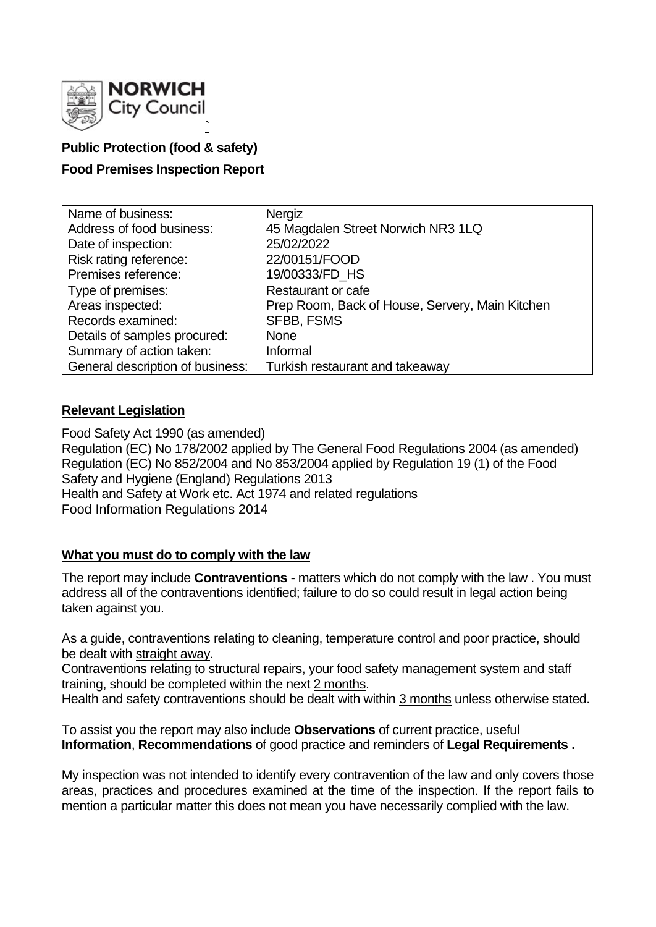

# **Public Protection (food & safety)**

# **Food Premises Inspection Report**

| Name of business:                | Nergiz                                          |
|----------------------------------|-------------------------------------------------|
| Address of food business:        | 45 Magdalen Street Norwich NR3 1LQ              |
| Date of inspection:              | 25/02/2022                                      |
| Risk rating reference:           | 22/00151/FOOD                                   |
| Premises reference:              | 19/00333/FD HS                                  |
| Type of premises:                | <b>Restaurant or cafe</b>                       |
| Areas inspected:                 | Prep Room, Back of House, Servery, Main Kitchen |
| Records examined:                | <b>SFBB, FSMS</b>                               |
| Details of samples procured:     | <b>None</b>                                     |
| Summary of action taken:         | Informal                                        |
| General description of business: | Turkish restaurant and takeaway                 |

# **Relevant Legislation**

Food Safety Act 1990 (as amended) Regulation (EC) No 178/2002 applied by The General Food Regulations 2004 (as amended) Regulation (EC) No 852/2004 and No 853/2004 applied by Regulation 19 (1) of the Food Safety and Hygiene (England) Regulations 2013 Health and Safety at Work etc. Act 1974 and related regulations Food Information Regulations 2014

# **What you must do to comply with the law**

The report may include **Contraventions** - matters which do not comply with the law . You must address all of the contraventions identified; failure to do so could result in legal action being taken against you.

As a guide, contraventions relating to cleaning, temperature control and poor practice, should be dealt with straight away.

Contraventions relating to structural repairs, your food safety management system and staff training, should be completed within the next 2 months.

Health and safety contraventions should be dealt with within 3 months unless otherwise stated.

To assist you the report may also include **Observations** of current practice, useful **Information**, **Recommendations** of good practice and reminders of **Legal Requirements .**

My inspection was not intended to identify every contravention of the law and only covers those areas, practices and procedures examined at the time of the inspection. If the report fails to mention a particular matter this does not mean you have necessarily complied with the law.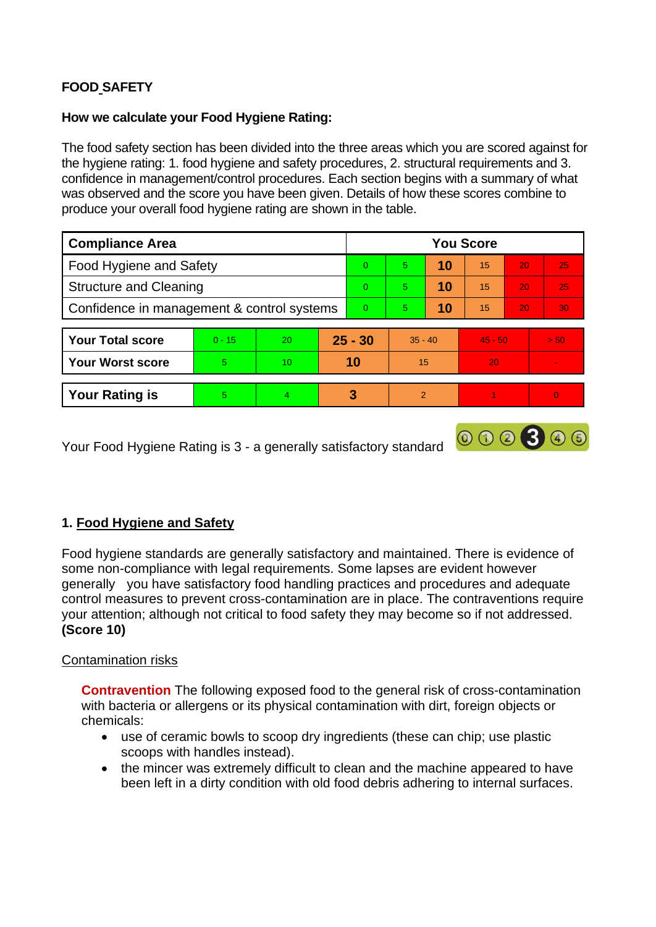# **FOOD SAFETY**

### **How we calculate your Food Hygiene Rating:**

The food safety section has been divided into the three areas which you are scored against for the hygiene rating: 1. food hygiene and safety procedures, 2. structural requirements and 3. confidence in management/control procedures. Each section begins with a summary of what was observed and the score you have been given. Details of how these scores combine to produce your overall food hygiene rating are shown in the table.

| <b>Compliance Area</b>                     |          |    |           | <b>You Score</b> |                |    |           |    |                |  |  |
|--------------------------------------------|----------|----|-----------|------------------|----------------|----|-----------|----|----------------|--|--|
| Food Hygiene and Safety                    |          |    |           | $\Omega$         | 5.             | 10 | 15        | 20 | 25             |  |  |
| <b>Structure and Cleaning</b>              |          |    |           | $\Omega$         | 5              | 10 | 15        | 20 | 25             |  |  |
| Confidence in management & control systems |          |    |           | $\overline{0}$   | 5.             | 10 | 15        | 20 | 30             |  |  |
|                                            |          |    |           |                  |                |    |           |    |                |  |  |
| <b>Your Total score</b>                    | $0 - 15$ | 20 | $25 - 30$ |                  | $35 - 40$      |    | $45 - 50$ |    | > 50           |  |  |
| <b>Your Worst score</b>                    | 5        | 10 | 10        |                  | 15             |    | 20        |    |                |  |  |
|                                            |          |    |           |                  |                |    |           |    |                |  |  |
| <b>Your Rating is</b>                      | 5        | 4  |           | 3                | $\overline{2}$ |    |           |    | $\overline{0}$ |  |  |

000300

Your Food Hygiene Rating is 3 - a generally satisfactory standard

# **1. Food Hygiene and Safety**

Food hygiene standards are generally satisfactory and maintained. There is evidence of some non-compliance with legal requirements. Some lapses are evident however generally you have satisfactory food handling practices and procedures and adequate control measures to prevent cross-contamination are in place. The contraventions require your attention; although not critical to food safety they may become so if not addressed. **(Score 10)**

### Contamination risks

**Contravention** The following exposed food to the general risk of cross-contamination with bacteria or allergens or its physical contamination with dirt, foreign objects or chemicals:

- use of ceramic bowls to scoop dry ingredients (these can chip; use plastic scoops with handles instead).
- the mincer was extremely difficult to clean and the machine appeared to have been left in a dirty condition with old food debris adhering to internal surfaces.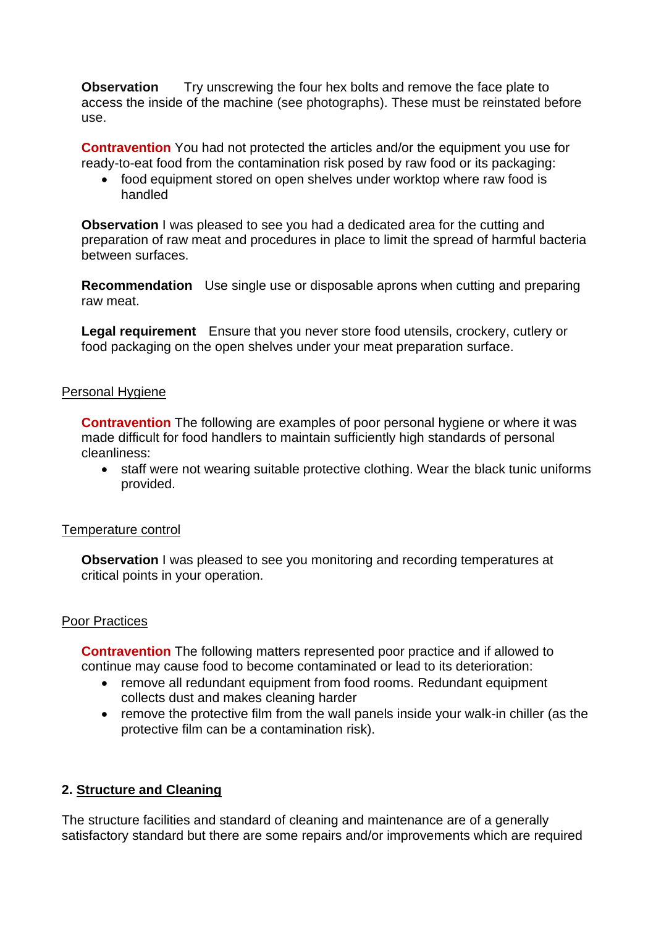**Observation** Try unscrewing the four hex bolts and remove the face plate to access the inside of the machine (see photographs). These must be reinstated before use.

**Contravention** You had not protected the articles and/or the equipment you use for ready-to-eat food from the contamination risk posed by raw food or its packaging:

• food equipment stored on open shelves under worktop where raw food is handled

**Observation** I was pleased to see you had a dedicated area for the cutting and preparation of raw meat and procedures in place to limit the spread of harmful bacteria between surfaces.

**Recommendation** Use single use or disposable aprons when cutting and preparing raw meat.

**Legal requirement** Ensure that you never store food utensils, crockery, cutlery or food packaging on the open shelves under your meat preparation surface.

#### Personal Hygiene

**Contravention** The following are examples of poor personal hygiene or where it was made difficult for food handlers to maintain sufficiently high standards of personal cleanliness:

• staff were not wearing suitable protective clothing. Wear the black tunic uniforms provided.

#### Temperature control

**Observation** I was pleased to see you monitoring and recording temperatures at critical points in your operation.

#### Poor Practices

**Contravention** The following matters represented poor practice and if allowed to continue may cause food to become contaminated or lead to its deterioration:

- remove all redundant equipment from food rooms. Redundant equipment collects dust and makes cleaning harder
- remove the protective film from the wall panels inside your walk-in chiller (as the protective film can be a contamination risk).

### **2. Structure and Cleaning**

The structure facilities and standard of cleaning and maintenance are of a generally satisfactory standard but there are some repairs and/or improvements which are required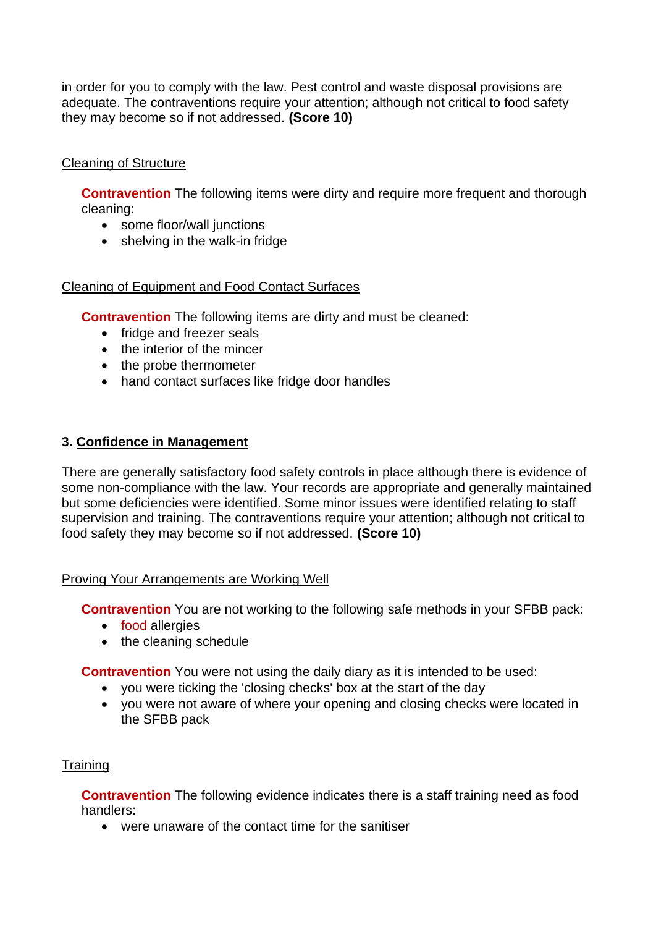in order for you to comply with the law. Pest control and waste disposal provisions are adequate. The contraventions require your attention; although not critical to food safety they may become so if not addressed. **(Score 10)**

# Cleaning of Structure

**Contravention** The following items were dirty and require more frequent and thorough cleaning:

- some floor/wall junctions
- shelving in the walk-in fridge

### Cleaning of Equipment and Food Contact Surfaces

**Contravention** The following items are dirty and must be cleaned:

- fridge and freezer seals
- the interior of the mincer
- the probe thermometer
- hand contact surfaces like fridge door handles

# **3. Confidence in Management**

There are generally satisfactory food safety controls in place although there is evidence of some non-compliance with the law. Your records are appropriate and generally maintained but some deficiencies were identified. Some minor issues were identified relating to staff supervision and training. The contraventions require your attention; although not critical to food safety they may become so if not addressed. **(Score 10)**

### Proving Your Arrangements are Working Well

**Contravention** You are not working to the following safe methods in your SFBB pack:

- food allergies
- the cleaning schedule

**Contravention** You were not using the daily diary as it is intended to be used:

- you were ticking the 'closing checks' box at the start of the day
- you were not aware of where your opening and closing checks were located in the SFBB pack

### **Training**

**Contravention** The following evidence indicates there is a staff training need as food handlers:

• were unaware of the contact time for the sanitiser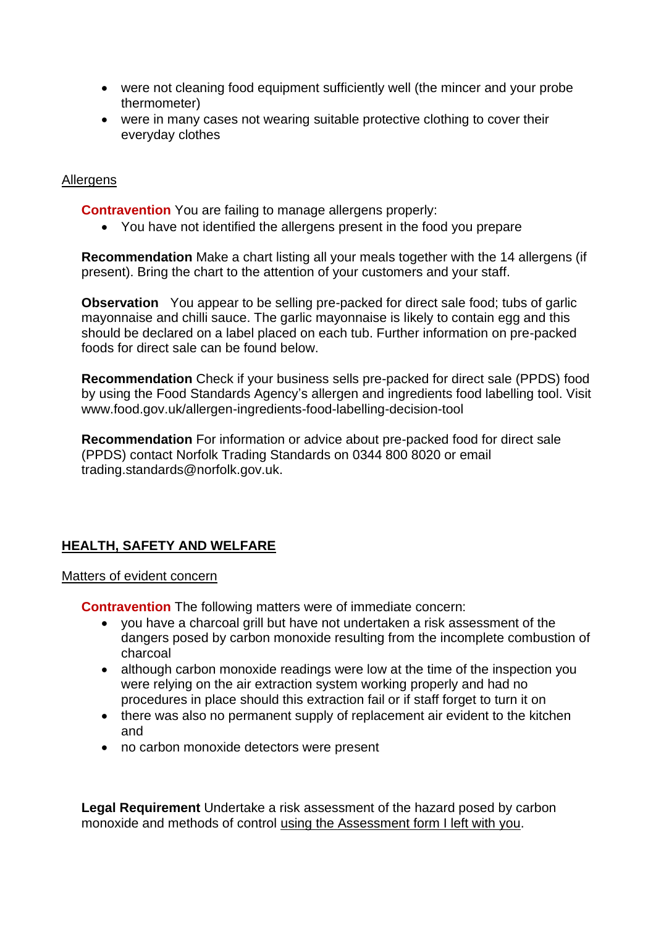- were not cleaning food equipment sufficiently well (the mincer and your probe thermometer)
- were in many cases not wearing suitable protective clothing to cover their everyday clothes

## Allergens

**Contravention** You are failing to manage allergens properly:

• You have not identified the allergens present in the food you prepare

**Recommendation** Make a chart listing all your meals together with the 14 allergens (if present). Bring the chart to the attention of your customers and your staff.

**Observation** You appear to be selling pre-packed for direct sale food; tubs of garlic mayonnaise and chilli sauce. The garlic mayonnaise is likely to contain egg and this should be declared on a label placed on each tub. Further information on pre-packed foods for direct sale can be found below.

**Recommendation** Check if your business sells pre-packed for direct sale (PPDS) food by using the Food Standards Agency's allergen and ingredients food labelling tool. Visit www.food.gov.uk/allergen-ingredients-food-labelling-decision-tool

**Recommendation** For information or advice about pre-packed food for direct sale (PPDS) contact Norfolk Trading Standards on 0344 800 8020 or email trading.standards@norfolk.gov.uk.

# **HEALTH, SAFETY AND WELFARE**

### Matters of evident concern

**Contravention** The following matters were of immediate concern:

- you have a charcoal grill but have not undertaken a risk assessment of the dangers posed by carbon monoxide resulting from the incomplete combustion of charcoal
- although carbon monoxide readings were low at the time of the inspection you were relying on the air extraction system working properly and had no procedures in place should this extraction fail or if staff forget to turn it on
- there was also no permanent supply of replacement air evident to the kitchen and
- no carbon monoxide detectors were present

**Legal Requirement** Undertake a risk assessment of the hazard posed by carbon monoxide and methods of control using the Assessment form I left with you.